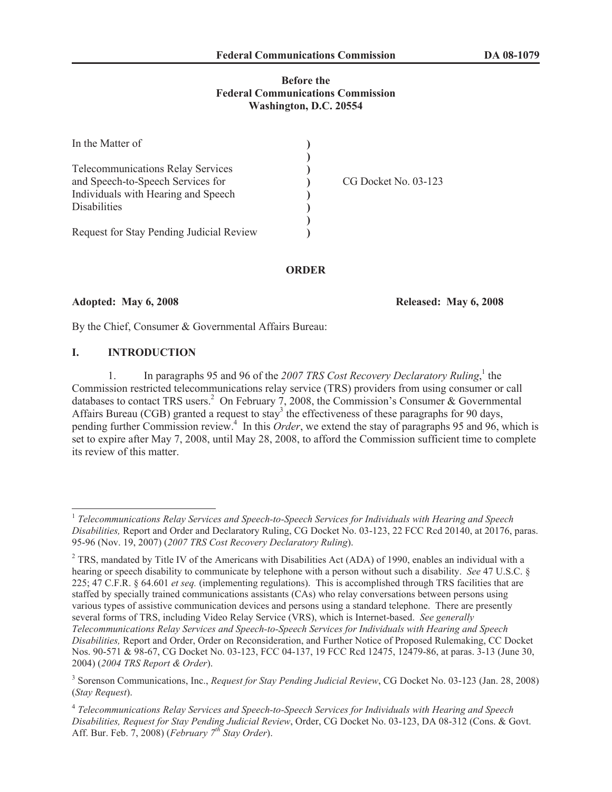#### **Before the Federal Communications Commission Washington, D.C. 20554**

| In the Matter of                         |                      |
|------------------------------------------|----------------------|
|                                          |                      |
| <b>Telecommunications Relay Services</b> |                      |
| and Speech-to-Speech Services for        | CG Docket No. 03-123 |
| Individuals with Hearing and Speech      |                      |
| Disabilities                             |                      |
|                                          |                      |
| Request for Stay Pending Judicial Review |                      |

**ORDER**

**Adopted: May 6, 2008 Released: May 6, 2008**

By the Chief, Consumer & Governmental Affairs Bureau:

#### **I. INTRODUCTION**

1. In paragraphs 95 and 96 of the 2007 TRS Cost Recovery Declaratory Ruling,<sup>1</sup> the Commission restricted telecommunications relay service (TRS) providers from using consumer or call databases to contact TRS users.<sup>2</sup> On February 7, 2008, the Commission's Consumer & Governmental Affairs Bureau (CGB) granted a request to stay<sup>3</sup> the effectiveness of these paragraphs for 90 days, pending further Commission review.<sup>4</sup> In this *Order*, we extend the stay of paragraphs 95 and 96, which is set to expire after May 7, 2008, until May 28, 2008, to afford the Commission sufficient time to complete its review of this matter.

<sup>&</sup>lt;sup>1</sup> Telecommunications Relay Services and Speech-to-Speech Services for Individuals with Hearing and Speech *Disabilities,* Report and Order and Declaratory Ruling, CG Docket No. 03-123, 22 FCC Rcd 20140, at 20176, paras. 95-96 (Nov. 19, 2007) (*2007 TRS Cost Recovery Declaratory Ruling*).

<sup>&</sup>lt;sup>2</sup> TRS, mandated by Title IV of the Americans with Disabilities Act (ADA) of 1990, enables an individual with a hearing or speech disability to communicate by telephone with a person without such a disability. *See* 47 U.S.C. § 225; 47 C.F.R. § 64.601 *et seq.* (implementing regulations). This is accomplished through TRS facilities that are staffed by specially trained communications assistants (CAs) who relay conversations between persons using various types of assistive communication devices and persons using a standard telephone. There are presently several forms of TRS, including Video Relay Service (VRS), which is Internet-based. *See generally Telecommunications Relay Services and Speech-to-Speech Services for Individuals with Hearing and Speech Disabilities,* Report and Order, Order on Reconsideration, and Further Notice of Proposed Rulemaking, CC Docket Nos. 90-571 & 98-67, CG Docket No. 03-123, FCC 04-137, 19 FCC Rcd 12475, 12479-86, at paras. 3-13 (June 30, 2004) (*2004 TRS Report & Order*).

<sup>3</sup> Sorenson Communications, Inc., *Request for Stay Pending Judicial Review*, CG Docket No. 03-123 (Jan. 28, 2008) (*Stay Request*).

<sup>4</sup> *Telecommunications Relay Services and Speech-to-Speech Services for Individuals with Hearing and Speech Disabilities, Request for Stay Pending Judicial Review*, Order, CG Docket No. 03-123, DA 08-312 (Cons. & Govt. Aff. Bur. Feb. 7, 2008) (*February 7 th Stay Order*).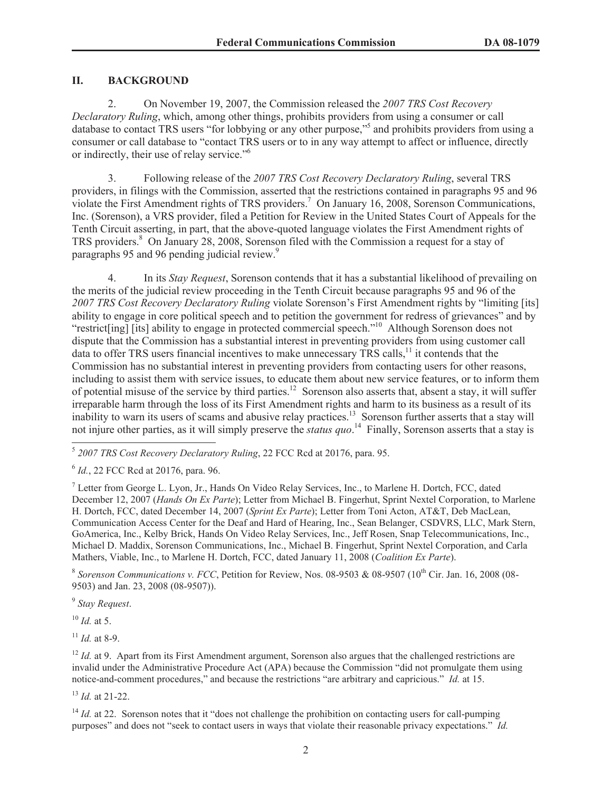### **II. BACKGROUND**

2. On November 19, 2007, the Commission released the *2007 TRS Cost Recovery Declaratory Ruling*, which, among other things, prohibits providers from using a consumer or call database to contact TRS users "for lobbying or any other purpose,"<sup>5</sup> and prohibits providers from using a consumer or call database to "contact TRS users or to in any way attempt to affect or influence, directly or indirectly, their use of relay service."<sup>6</sup>

3. Following release of the *2007 TRS Cost Recovery Declaratory Ruling*, several TRS providers, in filings with the Commission, asserted that the restrictions contained in paragraphs 95 and 96 violate the First Amendment rights of TRS providers.<sup>7</sup> On January 16, 2008, Sorenson Communications, Inc. (Sorenson), a VRS provider, filed a Petition for Review in the United States Court of Appeals for the Tenth Circuit asserting, in part, that the above-quoted language violates the First Amendment rights of TRS providers.<sup>8</sup> On January 28, 2008, Sorenson filed with the Commission a request for a stay of paragraphs 95 and 96 pending judicial review.<sup>9</sup>

4. In its *Stay Request*, Sorenson contends that it has a substantial likelihood of prevailing on the merits of the judicial review proceeding in the Tenth Circuit because paragraphs 95 and 96 of the *2007 TRS Cost Recovery Declaratory Ruling* violate Sorenson's First Amendment rights by "limiting [its] ability to engage in core political speech and to petition the government for redress of grievances" and by "restrict[ing] [its] ability to engage in protected commercial speech."<sup>10</sup> Although Sorenson does not dispute that the Commission has a substantial interest in preventing providers from using customer call data to offer TRS users financial incentives to make unnecessary TRS calls,<sup>11</sup> it contends that the Commission has no substantial interest in preventing providers from contacting users for other reasons, including to assist them with service issues, to educate them about new service features, or to inform them of potential misuse of the service by third parties.<sup>12</sup> Sorenson also asserts that, absent a stay, it will suffer irreparable harm through the loss of its First Amendment rights and harm to its business as a result of its inability to warn its users of scams and abusive relay practices.<sup>13</sup> Sorenson further asserts that a stay will not injure other parties, as it will simply preserve the *status quo*. <sup>14</sup> Finally, Sorenson asserts that a stay is

<sup>8</sup> Sorenson Communications v. FCC, Petition for Review, Nos. 08-9503 & 08-9507 (10<sup>th</sup> Cir. Jan. 16, 2008 (08-9503) and Jan. 23, 2008 (08-9507)).

9 *Stay Request*.

 $^{10}$  *Id.* at 5.

 $11$  *Id.* at 8-9.

<sup>13</sup> *Id.* at 21-22.

<sup>5</sup> *2007 TRS Cost Recovery Declaratory Ruling*, 22 FCC Rcd at 20176, para. 95.

<sup>6</sup> *Id.*, 22 FCC Rcd at 20176, para. 96.

<sup>7</sup> Letter from George L. Lyon, Jr., Hands On Video Relay Services, Inc., to Marlene H. Dortch, FCC, dated December 12, 2007 (*Hands On Ex Parte*); Letter from Michael B. Fingerhut, Sprint Nextel Corporation, to Marlene H. Dortch, FCC, dated December 14, 2007 (*Sprint Ex Parte*); Letter from Toni Acton, AT&T, Deb MacLean, Communication Access Center for the Deaf and Hard of Hearing, Inc., Sean Belanger, CSDVRS, LLC, Mark Stern, GoAmerica, Inc., Kelby Brick, Hands On Video Relay Services, Inc., Jeff Rosen, Snap Telecommunications, Inc., Michael D. Maddix, Sorenson Communications, Inc., Michael B. Fingerhut, Sprint Nextel Corporation, and Carla Mathers, Viable, Inc., to Marlene H. Dortch, FCC, dated January 11, 2008 (*Coalition Ex Parte*).

<sup>&</sup>lt;sup>12</sup> *Id.* at 9. Apart from its First Amendment argument, Sorenson also argues that the challenged restrictions are invalid under the Administrative Procedure Act (APA) because the Commission "did not promulgate them using notice-and-comment procedures," and because the restrictions "are arbitrary and capricious." *Id.* at 15.

<sup>&</sup>lt;sup>14</sup> *Id.* at 22. Sorenson notes that it "does not challenge the prohibition on contacting users for call-pumping purposes" and does not "seek to contact users in ways that violate their reasonable privacy expectations." *Id.*